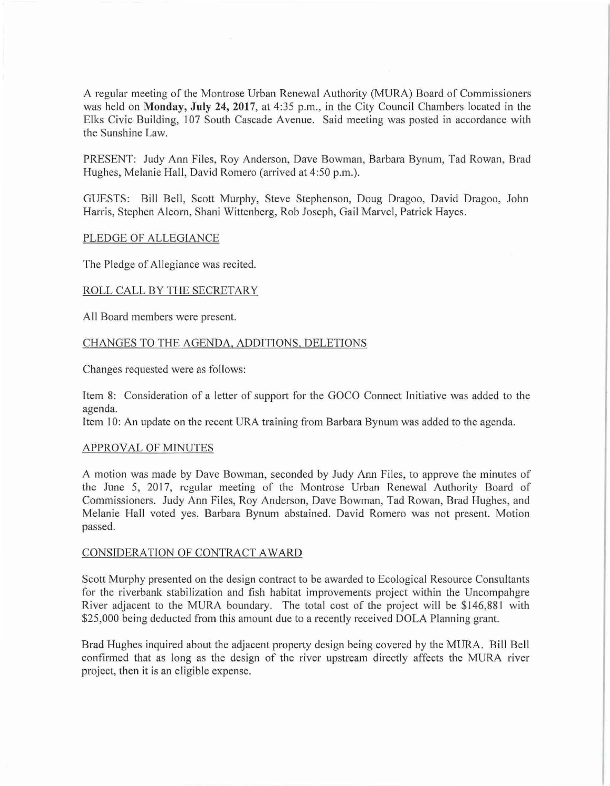A regular meeting of the Montrose Urban Renewal Authority (MURA) Board of Commissioners was held on **Monday, July 24, 2017**, at 4:35 p.m., in the City Council Chambers located in the Elks Civic Building, 107 South Cascade Avenue. Said meeting was posted in accordance with the Sunshine Law.

PRESENT: Judy Ann Files, Roy Anderson, Dave Bowman, Barbara Bynum, Tad Rowan, Brad Hughes, Melanie Hall, David Romero (arrived at 4:50 p.m.).

GUESTS: Bill Bell, Scott Murphy, Steve Stephenson, Doug Dragoo, David Dragoo, John Harris, Stephen Alcorn, Shani Wittenberg, Rob Joseph, Gail Marvel, Patrick Hayes.

# PLEDGE OF ALLEGIANCE

The Pledge of Allegiance was recited.

# ROLL CALL BY THE SECRETARY

All Board members were present.

# CHANGES TO THE AGENDA, ADDITIONS, DELETIONS

Changes requested were as follows:

Item 8: Consideration of a letter of support for the GOCO Connect Initiative was added to the agenda.

Item 10: An update on the recent URA training from Barbara Bynum was added to the agenda.

#### APPROVAL OF MINUTES

A motion was made by Dave Bowman, seconded by Judy Ann Files, to approve the minutes of the June 5, 2017, regular meeting of the Montrose Urban Renewal Authority Board of Commissioners. Judy Ann Files, Roy Anderson, Dave Bowman, Tad Rowan, Brad Hughes, and Melanie Hall voted yes. Barbara Bynum abstained. David Romero was not present. Motion passed.

### CONSIDERATION OF CONTRACT AWARD

Scott Murphy presented on the design contract to be awarded to Ecological Resource Consultants for the riverbank stabilization and fish habitat improvements project within the Uncompahgre River adjacent to the MURA boundary. The total cost of the project will be \$146,881 with \$25,000 being deducted from this amount due to a recently received DOLA Planning grant.

Brad Hughes inquired about the adjacent property design being covered by the MURA. Bill Bell confirmed that as long as the design of the river upstream directly affects the MURA river project, then it is an eligible expense.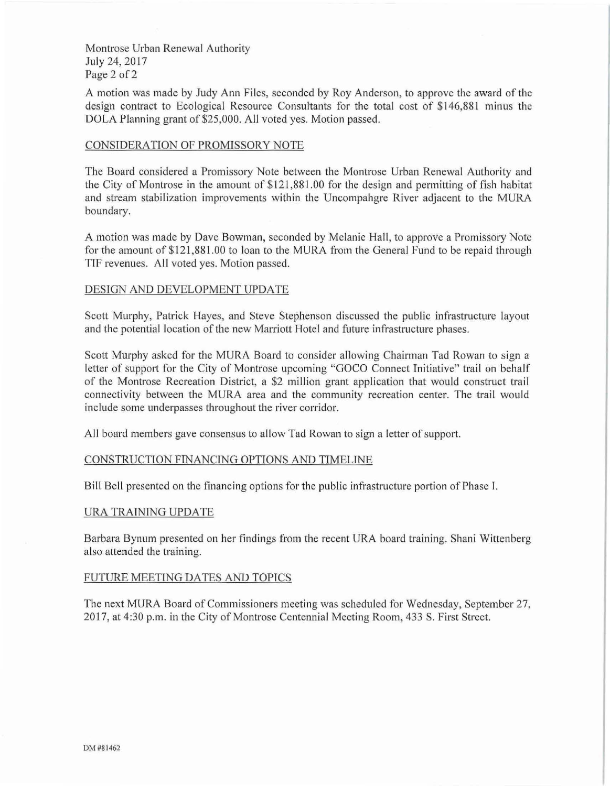Montrose Urban Renewal Authority July 24, 2017 Page 2 of 2

A motion was made by Judy Ann Files, seconded by Roy Anderson, to approve the award of the design contract to Ecological Resource Consultants for the total cost of \$146,881 minus the DOLA Planning grant of \$25,000. All voted yes. Motion passed.

# CONSJDERA TION OF PROMISSORY NOTE

The Board considered a Promissory Note between the Montrose Urban Renewal Authority and the City of Montrose in the amount of \$ 121 ,881.00 for the design and permitting of fish habitat and stream stabilization improvements within the Uncompahgre River adjacent to the MURA boundary.

A motion was made by Dave Bowman, seconded by Melanie Hall, to approve a Promissory Note for the amount of \$121,881.00 to loan to the MURA from the General Fund to be repaid through TIF revenues. All voted yes. Motion passed.

# DESIGN AND DEVELOPMENT UPDATE

Scott Murphy, Patrick Hayes, and Steve Stephenson discussed the public infrastructure layout and the potential location of the new Marriott Hotel and future infrastructure phases.

Scott Murphy asked for the MURA Board to consider allowing Chairman Tad Rowan to sign a letter of suppott for the City of Montrose upcoming "GOCO Connect Initiative" trail on behalf of the Montrose Recreation District, a \$2 million grant application that would construct trail connectivity between the MURA area and the community recreation center. The trail would inc lude some underpasses throughout the river corridor.

All board members gave consensus to allow Tad Rowan to sign a letter of suppott.

# CONSTRUCTION FINANCING OPTIONS AND TIMELTNE

Bill Bell presented on the financing options for the public infrastructure portion of Phase I.

#### URA TRAINING UPDATE

Barbara Bynum presented on her findings from the recent URA board training. Shani Wittenberg also attended the training.

### FUTURE MEETING DATES AND TOPICS

The next MURA Board of Commissioners meeting was scheduled for Wednesday, September 27, 2017, at 4:30 p.m. in the City of Montrose Centennial Meeting Room, 433 S. First Street.